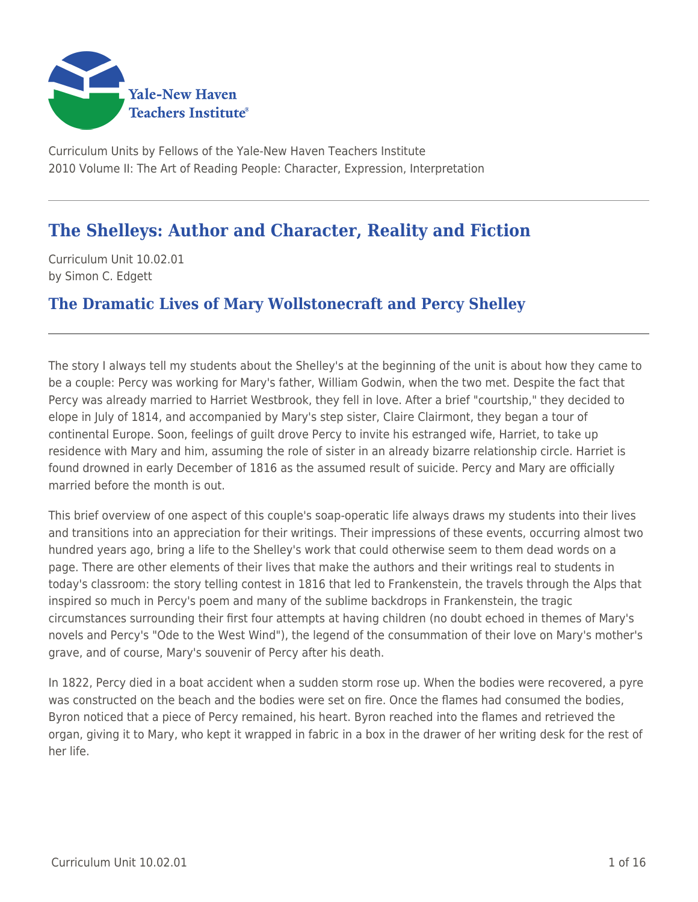

Curriculum Units by Fellows of the Yale-New Haven Teachers Institute 2010 Volume II: The Art of Reading People: Character, Expression, Interpretation

# **The Shelleys: Author and Character, Reality and Fiction**

Curriculum Unit 10.02.01 by Simon C. Edgett

# **The Dramatic Lives of Mary Wollstonecraft and Percy Shelley**

The story I always tell my students about the Shelley's at the beginning of the unit is about how they came to be a couple: Percy was working for Mary's father, William Godwin, when the two met. Despite the fact that Percy was already married to Harriet Westbrook, they fell in love. After a brief "courtship," they decided to elope in July of 1814, and accompanied by Mary's step sister, Claire Clairmont, they began a tour of continental Europe. Soon, feelings of guilt drove Percy to invite his estranged wife, Harriet, to take up residence with Mary and him, assuming the role of sister in an already bizarre relationship circle. Harriet is found drowned in early December of 1816 as the assumed result of suicide. Percy and Mary are officially married before the month is out.

This brief overview of one aspect of this couple's soap-operatic life always draws my students into their lives and transitions into an appreciation for their writings. Their impressions of these events, occurring almost two hundred years ago, bring a life to the Shelley's work that could otherwise seem to them dead words on a page. There are other elements of their lives that make the authors and their writings real to students in today's classroom: the story telling contest in 1816 that led to Frankenstein, the travels through the Alps that inspired so much in Percy's poem and many of the sublime backdrops in Frankenstein, the tragic circumstances surrounding their first four attempts at having children (no doubt echoed in themes of Mary's novels and Percy's "Ode to the West Wind"), the legend of the consummation of their love on Mary's mother's grave, and of course, Mary's souvenir of Percy after his death.

In 1822, Percy died in a boat accident when a sudden storm rose up. When the bodies were recovered, a pyre was constructed on the beach and the bodies were set on fire. Once the flames had consumed the bodies, Byron noticed that a piece of Percy remained, his heart. Byron reached into the flames and retrieved the organ, giving it to Mary, who kept it wrapped in fabric in a box in the drawer of her writing desk for the rest of her life.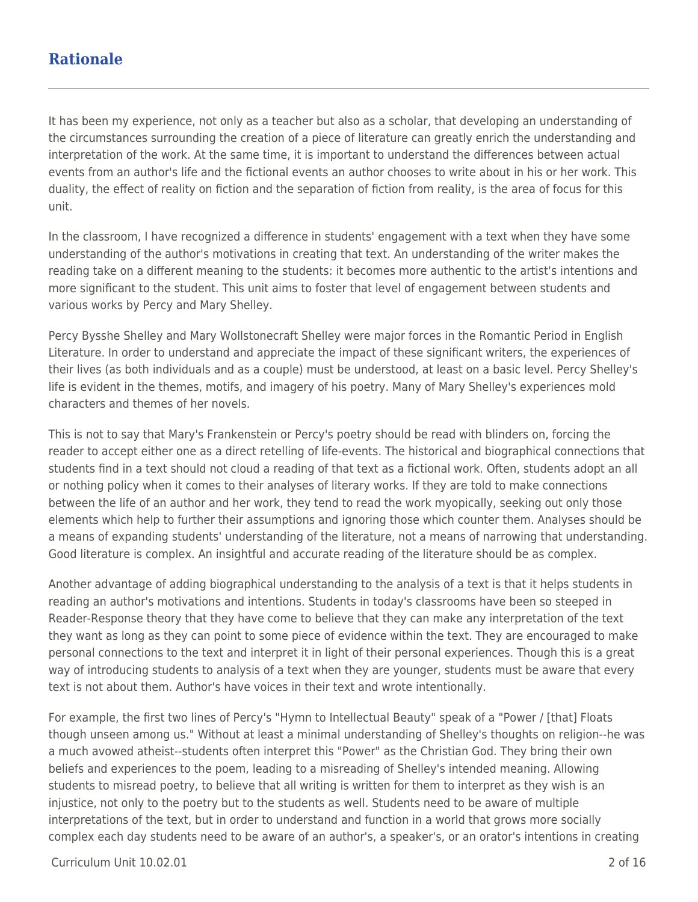# **Rationale**

It has been my experience, not only as a teacher but also as a scholar, that developing an understanding of the circumstances surrounding the creation of a piece of literature can greatly enrich the understanding and interpretation of the work. At the same time, it is important to understand the differences between actual events from an author's life and the fictional events an author chooses to write about in his or her work. This duality, the effect of reality on fiction and the separation of fiction from reality, is the area of focus for this unit.

In the classroom, I have recognized a difference in students' engagement with a text when they have some understanding of the author's motivations in creating that text. An understanding of the writer makes the reading take on a different meaning to the students: it becomes more authentic to the artist's intentions and more significant to the student. This unit aims to foster that level of engagement between students and various works by Percy and Mary Shelley.

Percy Bysshe Shelley and Mary Wollstonecraft Shelley were major forces in the Romantic Period in English Literature. In order to understand and appreciate the impact of these significant writers, the experiences of their lives (as both individuals and as a couple) must be understood, at least on a basic level. Percy Shelley's life is evident in the themes, motifs, and imagery of his poetry. Many of Mary Shelley's experiences mold characters and themes of her novels.

This is not to say that Mary's Frankenstein or Percy's poetry should be read with blinders on, forcing the reader to accept either one as a direct retelling of life-events. The historical and biographical connections that students find in a text should not cloud a reading of that text as a fictional work. Often, students adopt an all or nothing policy when it comes to their analyses of literary works. If they are told to make connections between the life of an author and her work, they tend to read the work myopically, seeking out only those elements which help to further their assumptions and ignoring those which counter them. Analyses should be a means of expanding students' understanding of the literature, not a means of narrowing that understanding. Good literature is complex. An insightful and accurate reading of the literature should be as complex.

Another advantage of adding biographical understanding to the analysis of a text is that it helps students in reading an author's motivations and intentions. Students in today's classrooms have been so steeped in Reader-Response theory that they have come to believe that they can make any interpretation of the text they want as long as they can point to some piece of evidence within the text. They are encouraged to make personal connections to the text and interpret it in light of their personal experiences. Though this is a great way of introducing students to analysis of a text when they are younger, students must be aware that every text is not about them. Author's have voices in their text and wrote intentionally.

For example, the first two lines of Percy's "Hymn to Intellectual Beauty" speak of a "Power / [that] Floats though unseen among us." Without at least a minimal understanding of Shelley's thoughts on religion--he was a much avowed atheist--students often interpret this "Power" as the Christian God. They bring their own beliefs and experiences to the poem, leading to a misreading of Shelley's intended meaning. Allowing students to misread poetry, to believe that all writing is written for them to interpret as they wish is an injustice, not only to the poetry but to the students as well. Students need to be aware of multiple interpretations of the text, but in order to understand and function in a world that grows more socially complex each day students need to be aware of an author's, a speaker's, or an orator's intentions in creating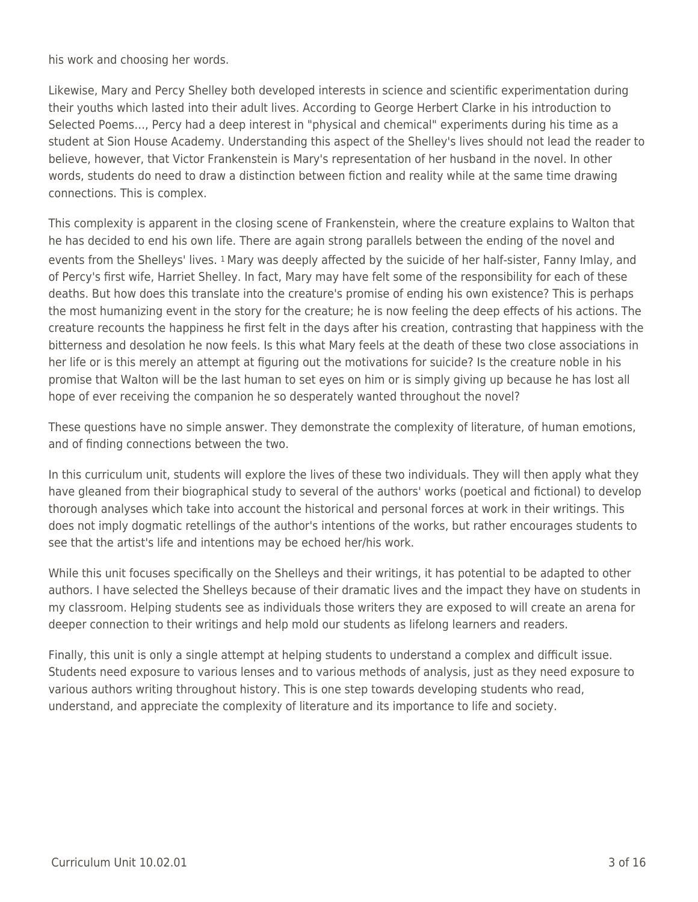his work and choosing her words.

Likewise, Mary and Percy Shelley both developed interests in science and scientific experimentation during their youths which lasted into their adult lives. According to George Herbert Clarke in his introduction to Selected Poems…, Percy had a deep interest in "physical and chemical" experiments during his time as a student at Sion House Academy. Understanding this aspect of the Shelley's lives should not lead the reader to believe, however, that Victor Frankenstein is Mary's representation of her husband in the novel. In other words, students do need to draw a distinction between fiction and reality while at the same time drawing connections. This is complex.

This complexity is apparent in the closing scene of Frankenstein, where the creature explains to Walton that he has decided to end his own life. There are again strong parallels between the ending of the novel and events from the Shelleys' lives. 1 Mary was deeply affected by the suicide of her half-sister, Fanny Imlay, and of Percy's first wife, Harriet Shelley. In fact, Mary may have felt some of the responsibility for each of these deaths. But how does this translate into the creature's promise of ending his own existence? This is perhaps the most humanizing event in the story for the creature; he is now feeling the deep effects of his actions. The creature recounts the happiness he first felt in the days after his creation, contrasting that happiness with the bitterness and desolation he now feels. Is this what Mary feels at the death of these two close associations in her life or is this merely an attempt at figuring out the motivations for suicide? Is the creature noble in his promise that Walton will be the last human to set eyes on him or is simply giving up because he has lost all hope of ever receiving the companion he so desperately wanted throughout the novel?

These questions have no simple answer. They demonstrate the complexity of literature, of human emotions, and of finding connections between the two.

In this curriculum unit, students will explore the lives of these two individuals. They will then apply what they have gleaned from their biographical study to several of the authors' works (poetical and fictional) to develop thorough analyses which take into account the historical and personal forces at work in their writings. This does not imply dogmatic retellings of the author's intentions of the works, but rather encourages students to see that the artist's life and intentions may be echoed her/his work.

While this unit focuses specifically on the Shelleys and their writings, it has potential to be adapted to other authors. I have selected the Shelleys because of their dramatic lives and the impact they have on students in my classroom. Helping students see as individuals those writers they are exposed to will create an arena for deeper connection to their writings and help mold our students as lifelong learners and readers.

Finally, this unit is only a single attempt at helping students to understand a complex and difficult issue. Students need exposure to various lenses and to various methods of analysis, just as they need exposure to various authors writing throughout history. This is one step towards developing students who read, understand, and appreciate the complexity of literature and its importance to life and society.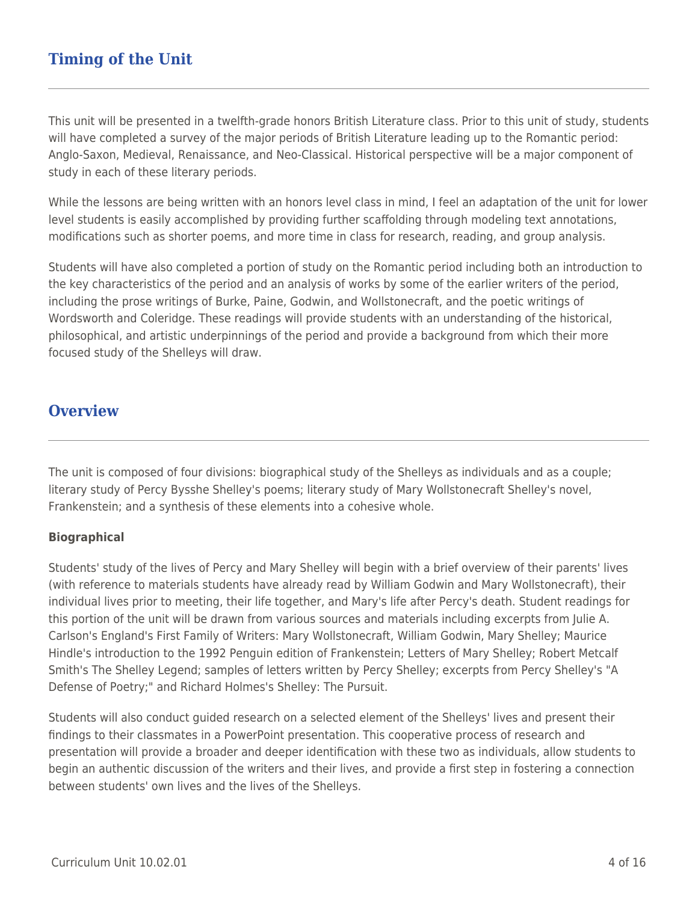This unit will be presented in a twelfth-grade honors British Literature class. Prior to this unit of study, students will have completed a survey of the major periods of British Literature leading up to the Romantic period: Anglo-Saxon, Medieval, Renaissance, and Neo-Classical. Historical perspective will be a major component of study in each of these literary periods.

While the lessons are being written with an honors level class in mind, I feel an adaptation of the unit for lower level students is easily accomplished by providing further scaffolding through modeling text annotations, modifications such as shorter poems, and more time in class for research, reading, and group analysis.

Students will have also completed a portion of study on the Romantic period including both an introduction to the key characteristics of the period and an analysis of works by some of the earlier writers of the period, including the prose writings of Burke, Paine, Godwin, and Wollstonecraft, and the poetic writings of Wordsworth and Coleridge. These readings will provide students with an understanding of the historical, philosophical, and artistic underpinnings of the period and provide a background from which their more focused study of the Shelleys will draw.

# **Overview**

The unit is composed of four divisions: biographical study of the Shelleys as individuals and as a couple; literary study of Percy Bysshe Shelley's poems; literary study of Mary Wollstonecraft Shelley's novel, Frankenstein; and a synthesis of these elements into a cohesive whole.

## **Biographical**

Students' study of the lives of Percy and Mary Shelley will begin with a brief overview of their parents' lives (with reference to materials students have already read by William Godwin and Mary Wollstonecraft), their individual lives prior to meeting, their life together, and Mary's life after Percy's death. Student readings for this portion of the unit will be drawn from various sources and materials including excerpts from Julie A. Carlson's England's First Family of Writers: Mary Wollstonecraft, William Godwin, Mary Shelley; Maurice Hindle's introduction to the 1992 Penguin edition of Frankenstein; Letters of Mary Shelley; Robert Metcalf Smith's The Shelley Legend; samples of letters written by Percy Shelley; excerpts from Percy Shelley's "A Defense of Poetry;" and Richard Holmes's Shelley: The Pursuit.

Students will also conduct guided research on a selected element of the Shelleys' lives and present their findings to their classmates in a PowerPoint presentation. This cooperative process of research and presentation will provide a broader and deeper identification with these two as individuals, allow students to begin an authentic discussion of the writers and their lives, and provide a first step in fostering a connection between students' own lives and the lives of the Shelleys.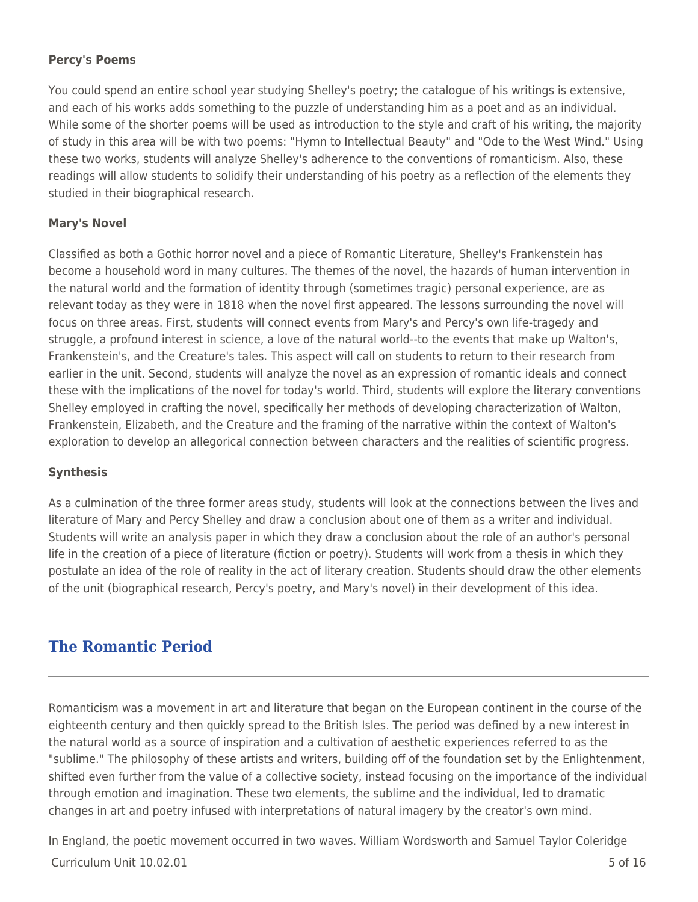## **Percy's Poems**

You could spend an entire school year studying Shelley's poetry; the catalogue of his writings is extensive, and each of his works adds something to the puzzle of understanding him as a poet and as an individual. While some of the shorter poems will be used as introduction to the style and craft of his writing, the majority of study in this area will be with two poems: "Hymn to Intellectual Beauty" and "Ode to the West Wind." Using these two works, students will analyze Shelley's adherence to the conventions of romanticism. Also, these readings will allow students to solidify their understanding of his poetry as a reflection of the elements they studied in their biographical research.

## **Mary's Novel**

Classified as both a Gothic horror novel and a piece of Romantic Literature, Shelley's Frankenstein has become a household word in many cultures. The themes of the novel, the hazards of human intervention in the natural world and the formation of identity through (sometimes tragic) personal experience, are as relevant today as they were in 1818 when the novel first appeared. The lessons surrounding the novel will focus on three areas. First, students will connect events from Mary's and Percy's own life-tragedy and struggle, a profound interest in science, a love of the natural world--to the events that make up Walton's, Frankenstein's, and the Creature's tales. This aspect will call on students to return to their research from earlier in the unit. Second, students will analyze the novel as an expression of romantic ideals and connect these with the implications of the novel for today's world. Third, students will explore the literary conventions Shelley employed in crafting the novel, specifically her methods of developing characterization of Walton, Frankenstein, Elizabeth, and the Creature and the framing of the narrative within the context of Walton's exploration to develop an allegorical connection between characters and the realities of scientific progress.

## **Synthesis**

As a culmination of the three former areas study, students will look at the connections between the lives and literature of Mary and Percy Shelley and draw a conclusion about one of them as a writer and individual. Students will write an analysis paper in which they draw a conclusion about the role of an author's personal life in the creation of a piece of literature (fiction or poetry). Students will work from a thesis in which they postulate an idea of the role of reality in the act of literary creation. Students should draw the other elements of the unit (biographical research, Percy's poetry, and Mary's novel) in their development of this idea.

# **The Romantic Period**

Romanticism was a movement in art and literature that began on the European continent in the course of the eighteenth century and then quickly spread to the British Isles. The period was defined by a new interest in the natural world as a source of inspiration and a cultivation of aesthetic experiences referred to as the "sublime." The philosophy of these artists and writers, building off of the foundation set by the Enlightenment, shifted even further from the value of a collective society, instead focusing on the importance of the individual through emotion and imagination. These two elements, the sublime and the individual, led to dramatic changes in art and poetry infused with interpretations of natural imagery by the creator's own mind.

 $Curir$ iulum Unit  $10.02.01$  5 of 16 In England, the poetic movement occurred in two waves. William Wordsworth and Samuel Taylor Coleridge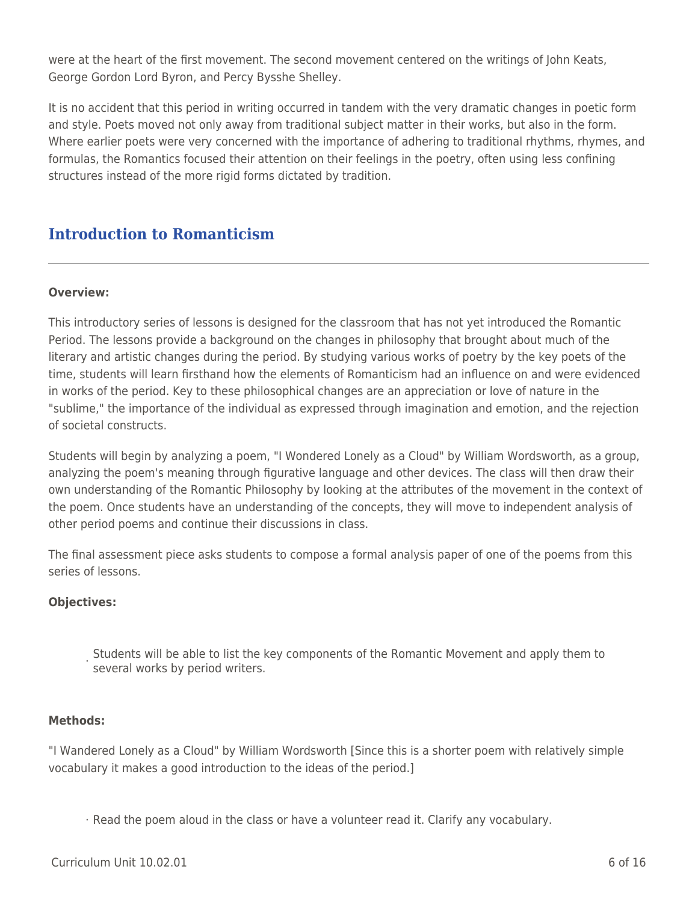were at the heart of the first movement. The second movement centered on the writings of John Keats, George Gordon Lord Byron, and Percy Bysshe Shelley.

It is no accident that this period in writing occurred in tandem with the very dramatic changes in poetic form and style. Poets moved not only away from traditional subject matter in their works, but also in the form. Where earlier poets were very concerned with the importance of adhering to traditional rhythms, rhymes, and formulas, the Romantics focused their attention on their feelings in the poetry, often using less confining structures instead of the more rigid forms dictated by tradition.

# **Introduction to Romanticism**

## **Overview:**

This introductory series of lessons is designed for the classroom that has not yet introduced the Romantic Period. The lessons provide a background on the changes in philosophy that brought about much of the literary and artistic changes during the period. By studying various works of poetry by the key poets of the time, students will learn firsthand how the elements of Romanticism had an influence on and were evidenced in works of the period. Key to these philosophical changes are an appreciation or love of nature in the "sublime," the importance of the individual as expressed through imagination and emotion, and the rejection of societal constructs.

Students will begin by analyzing a poem, "I Wondered Lonely as a Cloud" by William Wordsworth, as a group, analyzing the poem's meaning through figurative language and other devices. The class will then draw their own understanding of the Romantic Philosophy by looking at the attributes of the movement in the context of the poem. Once students have an understanding of the concepts, they will move to independent analysis of other period poems and continue their discussions in class.

The final assessment piece asks students to compose a formal analysis paper of one of the poems from this series of lessons.

## **Objectives:**

. Students will be able to list the key components of the Romantic Movement and apply them to<br>Coveral works by paried writers several works by period writers.

## **Methods:**

"I Wandered Lonely as a Cloud" by William Wordsworth [Since this is a shorter poem with relatively simple vocabulary it makes a good introduction to the ideas of the period.]

· Read the poem aloud in the class or have a volunteer read it. Clarify any vocabulary.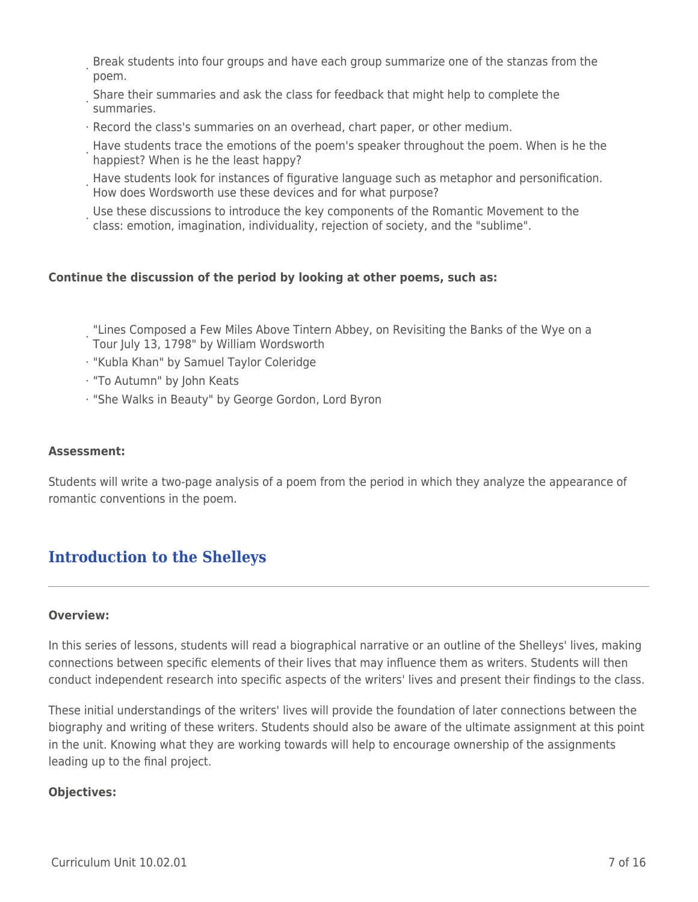- · Break students into four groups and have each group summarize one of the stanzas from the poem.
- · Share their summaries and ask the class for feedback that might help to complete the summaries.
- · Record the class's summaries on an overhead, chart paper, or other medium.
- · Have students trace the emotions of the poem's speaker throughout the poem. When is he the happiest? When is he the least happy?
- Have students look for instances of figurative language such as metaphor and personification.<br>How doos Werdswerth use these dovises and for what purpose? How does Wordsworth use these devices and for what purpose?
- · Use these discussions to introduce the key components of the Romantic Movement to the class: emotion, imagination, individuality, rejection of society, and the "sublime".

## **Continue the discussion of the period by looking at other poems, such as:**

- · "Lines Composed a Few Miles Above Tintern Abbey, on Revisiting the Banks of the Wye on a Tour July 13, 1798" by William Wordsworth
- · "Kubla Khan" by Samuel Taylor Coleridge
- · "To Autumn" by John Keats
- · "She Walks in Beauty" by George Gordon, Lord Byron

### **Assessment:**

Students will write a two-page analysis of a poem from the period in which they analyze the appearance of romantic conventions in the poem.

# **Introduction to the Shelleys**

### **Overview:**

In this series of lessons, students will read a biographical narrative or an outline of the Shelleys' lives, making connections between specific elements of their lives that may influence them as writers. Students will then conduct independent research into specific aspects of the writers' lives and present their findings to the class.

These initial understandings of the writers' lives will provide the foundation of later connections between the biography and writing of these writers. Students should also be aware of the ultimate assignment at this point in the unit. Knowing what they are working towards will help to encourage ownership of the assignments leading up to the final project.

### **Objectives:**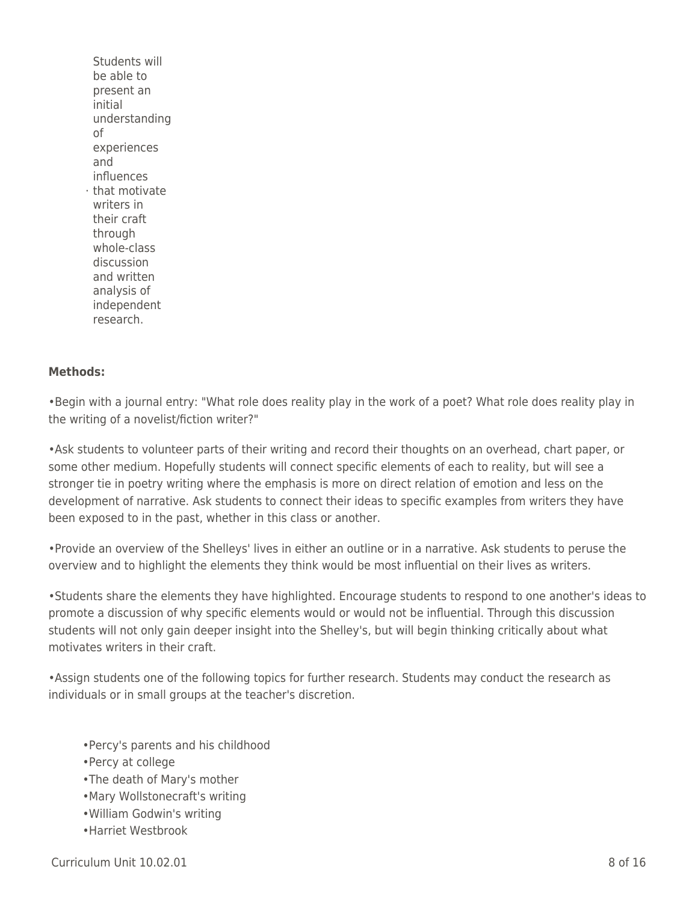· that motivate Students will be able to present an initial understanding of experiences and influences writers in their craft through whole-class discussion and written analysis of independent research.

### **Methods:**

•Begin with a journal entry: "What role does reality play in the work of a poet? What role does reality play in the writing of a novelist/fiction writer?"

•Ask students to volunteer parts of their writing and record their thoughts on an overhead, chart paper, or some other medium. Hopefully students will connect specific elements of each to reality, but will see a stronger tie in poetry writing where the emphasis is more on direct relation of emotion and less on the development of narrative. Ask students to connect their ideas to specific examples from writers they have been exposed to in the past, whether in this class or another.

•Provide an overview of the Shelleys' lives in either an outline or in a narrative. Ask students to peruse the overview and to highlight the elements they think would be most influential on their lives as writers.

•Students share the elements they have highlighted. Encourage students to respond to one another's ideas to promote a discussion of why specific elements would or would not be influential. Through this discussion students will not only gain deeper insight into the Shelley's, but will begin thinking critically about what motivates writers in their craft.

•Assign students one of the following topics for further research. Students may conduct the research as individuals or in small groups at the teacher's discretion.

- •Percy's parents and his childhood
- •Percy at college
- •The death of Mary's mother
- •Mary Wollstonecraft's writing
- •William Godwin's writing
- •Harriet Westbrook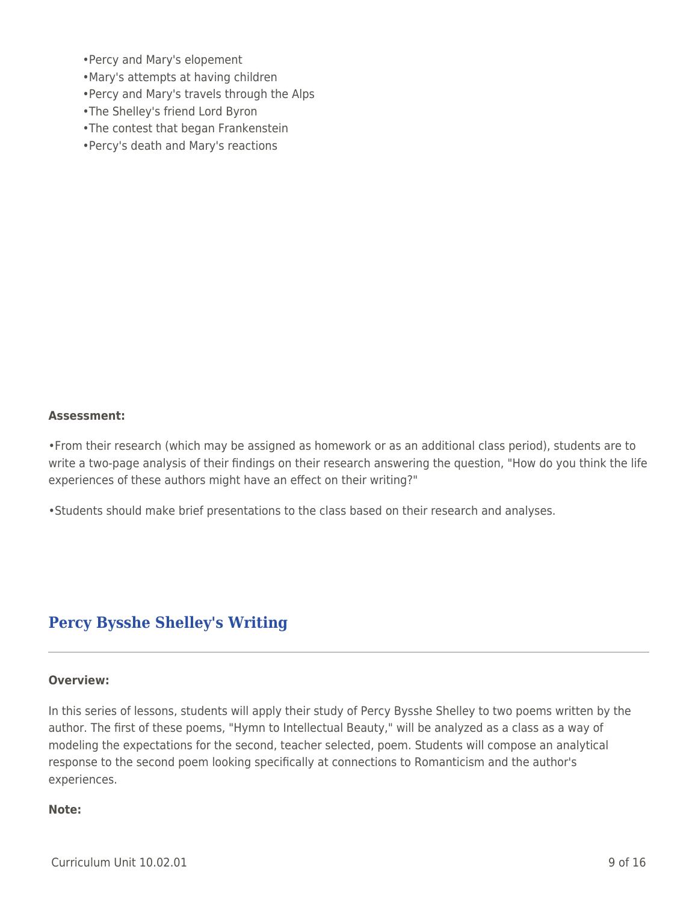- •Percy and Mary's elopement
- •Mary's attempts at having children
- •Percy and Mary's travels through the Alps
- •The Shelley's friend Lord Byron
- •The contest that began Frankenstein
- •Percy's death and Mary's reactions

### **Assessment:**

•From their research (which may be assigned as homework or as an additional class period), students are to write a two-page analysis of their findings on their research answering the question, "How do you think the life experiences of these authors might have an effect on their writing?"

•Students should make brief presentations to the class based on their research and analyses.

# **Percy Bysshe Shelley's Writing**

#### **Overview:**

In this series of lessons, students will apply their study of Percy Bysshe Shelley to two poems written by the author. The first of these poems, "Hymn to Intellectual Beauty," will be analyzed as a class as a way of modeling the expectations for the second, teacher selected, poem. Students will compose an analytical response to the second poem looking specifically at connections to Romanticism and the author's experiences.

### **Note:**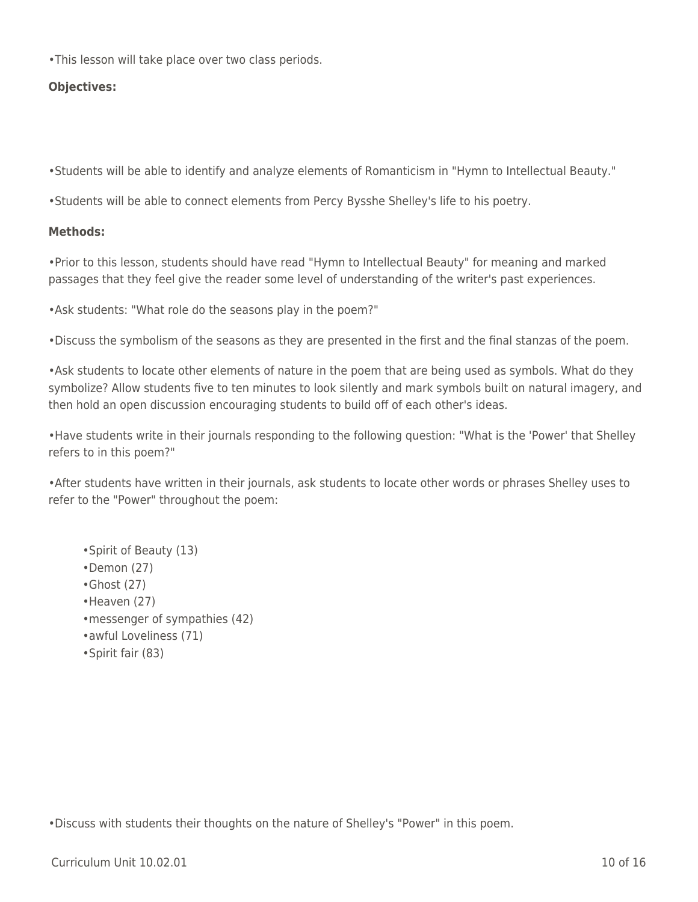•This lesson will take place over two class periods.

## **Objectives:**

•Students will be able to identify and analyze elements of Romanticism in "Hymn to Intellectual Beauty."

•Students will be able to connect elements from Percy Bysshe Shelley's life to his poetry.

### **Methods:**

•Prior to this lesson, students should have read "Hymn to Intellectual Beauty" for meaning and marked passages that they feel give the reader some level of understanding of the writer's past experiences.

•Ask students: "What role do the seasons play in the poem?"

•Discuss the symbolism of the seasons as they are presented in the first and the final stanzas of the poem.

•Ask students to locate other elements of nature in the poem that are being used as symbols. What do they symbolize? Allow students five to ten minutes to look silently and mark symbols built on natural imagery, and then hold an open discussion encouraging students to build off of each other's ideas.

•Have students write in their journals responding to the following question: "What is the 'Power' that Shelley refers to in this poem?"

•After students have written in their journals, ask students to locate other words or phrases Shelley uses to refer to the "Power" throughout the poem:

- •Spirit of Beauty (13)
- •Demon (27)
- •Ghost (27)
- •Heaven (27)
- •messenger of sympathies (42)
- •awful Loveliness (71)
- •Spirit fair (83)

•Discuss with students their thoughts on the nature of Shelley's "Power" in this poem.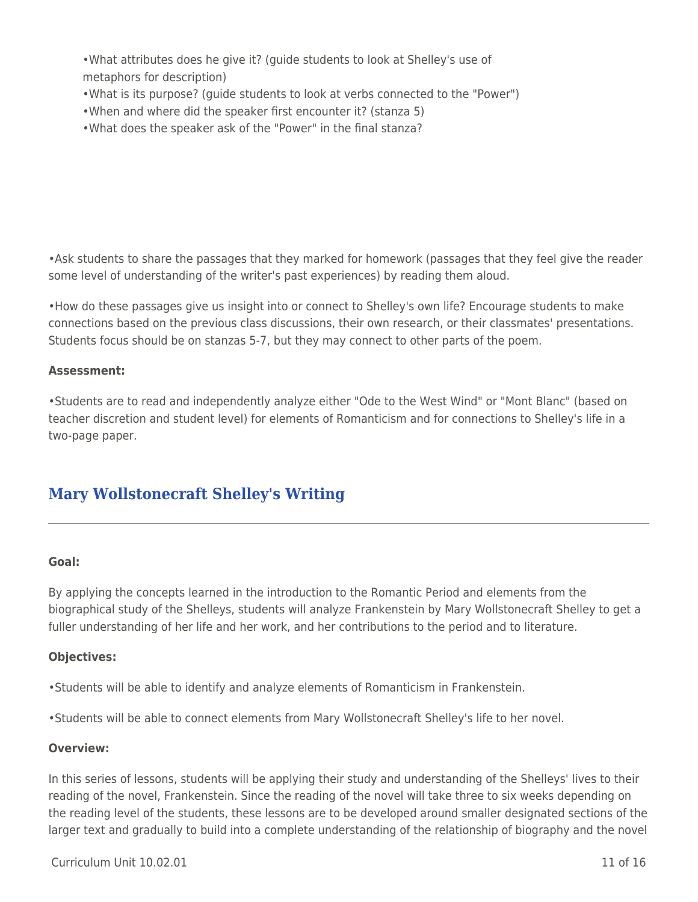•What attributes does he give it? (guide students to look at Shelley's use of metaphors for description)

- •What is its purpose? (guide students to look at verbs connected to the "Power")
- •When and where did the speaker first encounter it? (stanza 5)
- •What does the speaker ask of the "Power" in the final stanza?

•Ask students to share the passages that they marked for homework (passages that they feel give the reader some level of understanding of the writer's past experiences) by reading them aloud.

•How do these passages give us insight into or connect to Shelley's own life? Encourage students to make connections based on the previous class discussions, their own research, or their classmates' presentations. Students focus should be on stanzas 5-7, but they may connect to other parts of the poem.

### **Assessment:**

•Students are to read and independently analyze either "Ode to the West Wind" or "Mont Blanc" (based on teacher discretion and student level) for elements of Romanticism and for connections to Shelley's life in a two-page paper.

# **Mary Wollstonecraft Shelley's Writing**

### **Goal:**

By applying the concepts learned in the introduction to the Romantic Period and elements from the biographical study of the Shelleys, students will analyze Frankenstein by Mary Wollstonecraft Shelley to get a fuller understanding of her life and her work, and her contributions to the period and to literature.

### **Objectives:**

•Students will be able to identify and analyze elements of Romanticism in Frankenstein.

•Students will be able to connect elements from Mary Wollstonecraft Shelley's life to her novel.

### **Overview:**

In this series of lessons, students will be applying their study and understanding of the Shelleys' lives to their reading of the novel, Frankenstein. Since the reading of the novel will take three to six weeks depending on the reading level of the students, these lessons are to be developed around smaller designated sections of the larger text and gradually to build into a complete understanding of the relationship of biography and the novel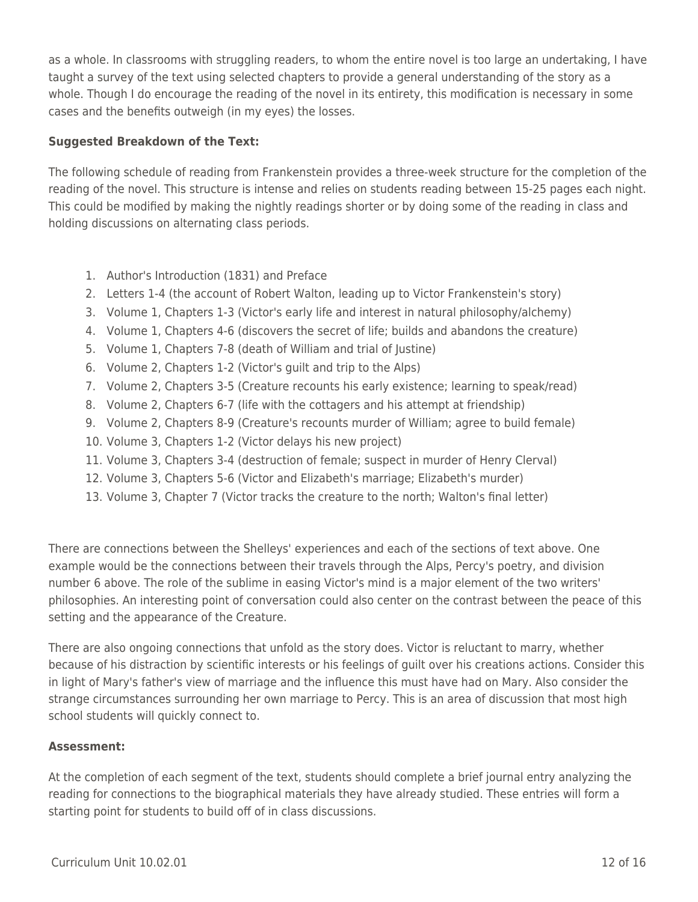as a whole. In classrooms with struggling readers, to whom the entire novel is too large an undertaking, I have taught a survey of the text using selected chapters to provide a general understanding of the story as a whole. Though I do encourage the reading of the novel in its entirety, this modification is necessary in some cases and the benefits outweigh (in my eyes) the losses.

## **Suggested Breakdown of the Text:**

The following schedule of reading from Frankenstein provides a three-week structure for the completion of the reading of the novel. This structure is intense and relies on students reading between 15-25 pages each night. This could be modified by making the nightly readings shorter or by doing some of the reading in class and holding discussions on alternating class periods.

- 1. Author's Introduction (1831) and Preface
- 2. Letters 1-4 (the account of Robert Walton, leading up to Victor Frankenstein's story)
- 3. Volume 1, Chapters 1-3 (Victor's early life and interest in natural philosophy/alchemy)
- 4. Volume 1, Chapters 4-6 (discovers the secret of life; builds and abandons the creature)
- 5. Volume 1, Chapters 7-8 (death of William and trial of Justine)
- 6. Volume 2, Chapters 1-2 (Victor's guilt and trip to the Alps)
- 7. Volume 2, Chapters 3-5 (Creature recounts his early existence; learning to speak/read)
- 8. Volume 2, Chapters 6-7 (life with the cottagers and his attempt at friendship)
- 9. Volume 2, Chapters 8-9 (Creature's recounts murder of William; agree to build female)
- 10. Volume 3, Chapters 1-2 (Victor delays his new project)
- 11. Volume 3, Chapters 3-4 (destruction of female; suspect in murder of Henry Clerval)
- 12. Volume 3, Chapters 5-6 (Victor and Elizabeth's marriage; Elizabeth's murder)
- 13. Volume 3, Chapter 7 (Victor tracks the creature to the north; Walton's final letter)

There are connections between the Shelleys' experiences and each of the sections of text above. One example would be the connections between their travels through the Alps, Percy's poetry, and division number 6 above. The role of the sublime in easing Victor's mind is a major element of the two writers' philosophies. An interesting point of conversation could also center on the contrast between the peace of this setting and the appearance of the Creature.

There are also ongoing connections that unfold as the story does. Victor is reluctant to marry, whether because of his distraction by scientific interests or his feelings of guilt over his creations actions. Consider this in light of Mary's father's view of marriage and the influence this must have had on Mary. Also consider the strange circumstances surrounding her own marriage to Percy. This is an area of discussion that most high school students will quickly connect to.

## **Assessment:**

At the completion of each segment of the text, students should complete a brief journal entry analyzing the reading for connections to the biographical materials they have already studied. These entries will form a starting point for students to build off of in class discussions.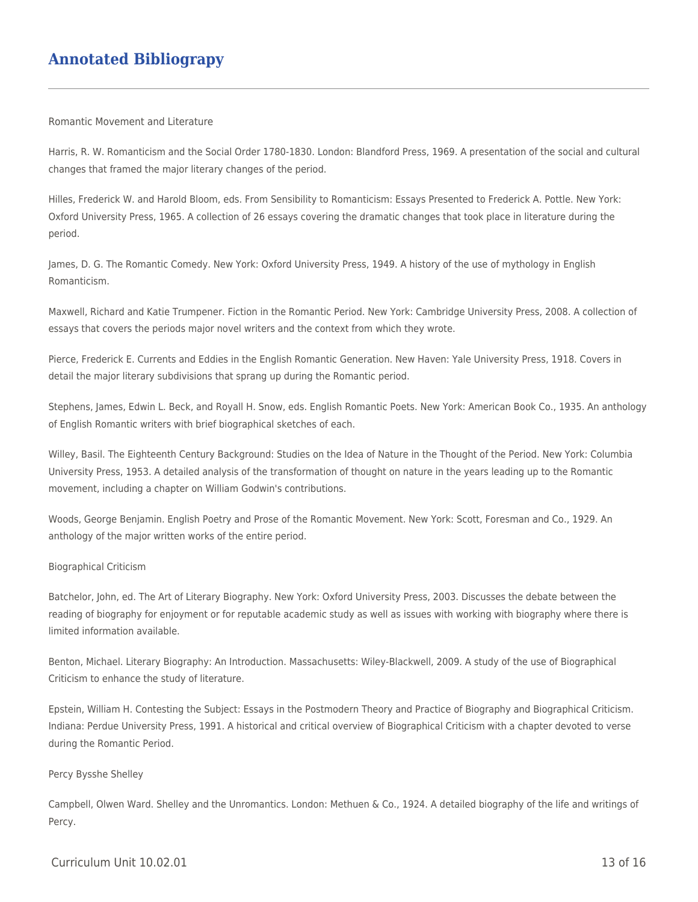# **Annotated Bibliograpy**

#### Romantic Movement and Literature

Harris, R. W. Romanticism and the Social Order 1780-1830. London: Blandford Press, 1969. A presentation of the social and cultural changes that framed the major literary changes of the period.

Hilles, Frederick W. and Harold Bloom, eds. From Sensibility to Romanticism: Essays Presented to Frederick A. Pottle. New York: Oxford University Press, 1965. A collection of 26 essays covering the dramatic changes that took place in literature during the period.

James, D. G. The Romantic Comedy. New York: Oxford University Press, 1949. A history of the use of mythology in English Romanticism.

Maxwell, Richard and Katie Trumpener. Fiction in the Romantic Period. New York: Cambridge University Press, 2008. A collection of essays that covers the periods major novel writers and the context from which they wrote.

Pierce, Frederick E. Currents and Eddies in the English Romantic Generation. New Haven: Yale University Press, 1918. Covers in detail the major literary subdivisions that sprang up during the Romantic period.

Stephens, James, Edwin L. Beck, and Royall H. Snow, eds. English Romantic Poets. New York: American Book Co., 1935. An anthology of English Romantic writers with brief biographical sketches of each.

Willey, Basil. The Eighteenth Century Background: Studies on the Idea of Nature in the Thought of the Period. New York: Columbia University Press, 1953. A detailed analysis of the transformation of thought on nature in the years leading up to the Romantic movement, including a chapter on William Godwin's contributions.

Woods, George Benjamin. English Poetry and Prose of the Romantic Movement. New York: Scott, Foresman and Co., 1929. An anthology of the major written works of the entire period.

#### Biographical Criticism

Batchelor, John, ed. The Art of Literary Biography. New York: Oxford University Press, 2003. Discusses the debate between the reading of biography for enjoyment or for reputable academic study as well as issues with working with biography where there is limited information available.

Benton, Michael. Literary Biography: An Introduction. Massachusetts: Wiley-Blackwell, 2009. A study of the use of Biographical Criticism to enhance the study of literature.

Epstein, William H. Contesting the Subject: Essays in the Postmodern Theory and Practice of Biography and Biographical Criticism. Indiana: Perdue University Press, 1991. A historical and critical overview of Biographical Criticism with a chapter devoted to verse during the Romantic Period.

#### Percy Bysshe Shelley

Campbell, Olwen Ward. Shelley and the Unromantics. London: Methuen & Co., 1924. A detailed biography of the life and writings of Percy.

#### $Curir$ iulum Unit  $10.02.01$  13 of 16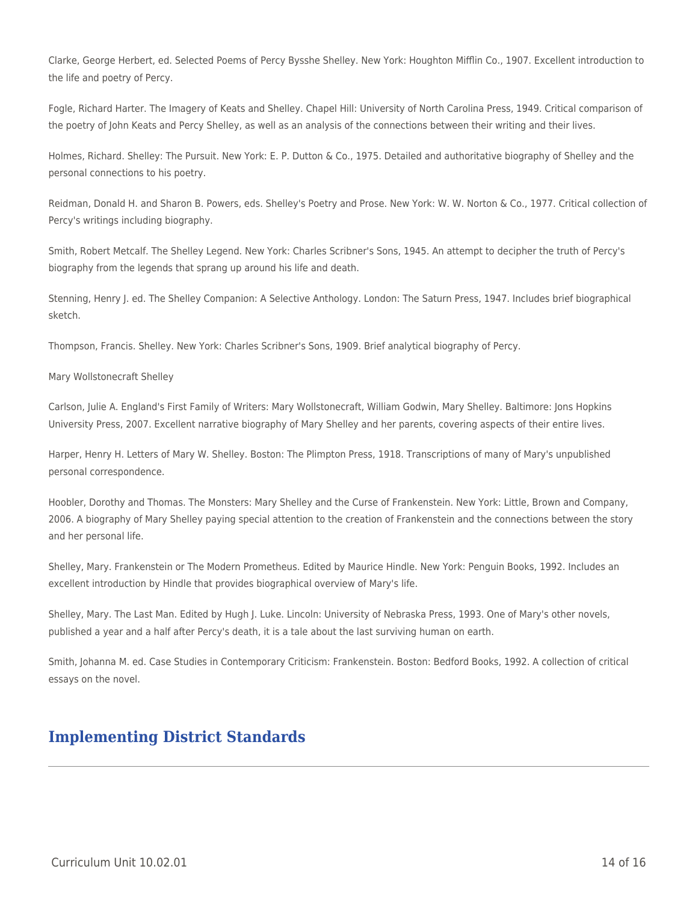Clarke, George Herbert, ed. Selected Poems of Percy Bysshe Shelley. New York: Houghton Mifflin Co., 1907. Excellent introduction to the life and poetry of Percy.

Fogle, Richard Harter. The Imagery of Keats and Shelley. Chapel Hill: University of North Carolina Press, 1949. Critical comparison of the poetry of John Keats and Percy Shelley, as well as an analysis of the connections between their writing and their lives.

Holmes, Richard. Shelley: The Pursuit. New York: E. P. Dutton & Co., 1975. Detailed and authoritative biography of Shelley and the personal connections to his poetry.

Reidman, Donald H. and Sharon B. Powers, eds. Shelley's Poetry and Prose. New York: W. W. Norton & Co., 1977. Critical collection of Percy's writings including biography.

Smith, Robert Metcalf. The Shelley Legend. New York: Charles Scribner's Sons, 1945. An attempt to decipher the truth of Percy's biography from the legends that sprang up around his life and death.

Stenning, Henry J. ed. The Shelley Companion: A Selective Anthology. London: The Saturn Press, 1947. Includes brief biographical sketch.

Thompson, Francis. Shelley. New York: Charles Scribner's Sons, 1909. Brief analytical biography of Percy.

Mary Wollstonecraft Shelley

Carlson, Julie A. England's First Family of Writers: Mary Wollstonecraft, William Godwin, Mary Shelley. Baltimore: Jons Hopkins University Press, 2007. Excellent narrative biography of Mary Shelley and her parents, covering aspects of their entire lives.

Harper, Henry H. Letters of Mary W. Shelley. Boston: The Plimpton Press, 1918. Transcriptions of many of Mary's unpublished personal correspondence.

Hoobler, Dorothy and Thomas. The Monsters: Mary Shelley and the Curse of Frankenstein. New York: Little, Brown and Company, 2006. A biography of Mary Shelley paying special attention to the creation of Frankenstein and the connections between the story and her personal life.

Shelley, Mary. Frankenstein or The Modern Prometheus. Edited by Maurice Hindle. New York: Penguin Books, 1992. Includes an excellent introduction by Hindle that provides biographical overview of Mary's life.

Shelley, Mary. The Last Man. Edited by Hugh J. Luke. Lincoln: University of Nebraska Press, 1993. One of Mary's other novels, published a year and a half after Percy's death, it is a tale about the last surviving human on earth.

Smith, Johanna M. ed. Case Studies in Contemporary Criticism: Frankenstein. Boston: Bedford Books, 1992. A collection of critical essays on the novel.

# **Implementing District Standards**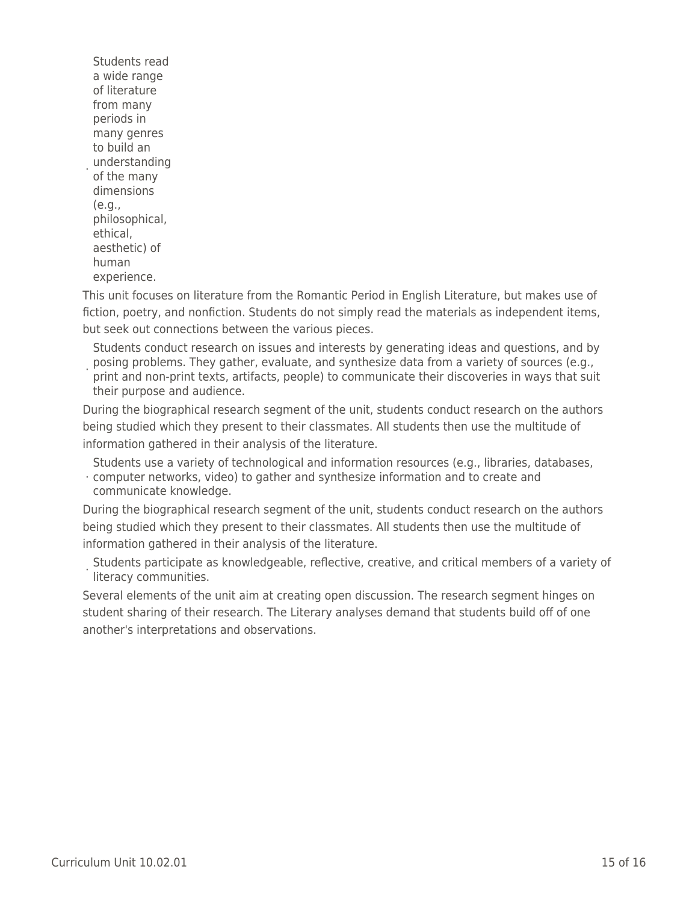understanding Students read a wide range of literature from many periods in many genres to build an of the many dimensions (e.g., philosophical, ethical, aesthetic) of human experience.

This unit focuses on literature from the Romantic Period in English Literature, but makes use of fiction, poetry, and nonfiction. Students do not simply read the materials as independent items, but seek out connections between the various pieces.

posing problems. They gather, evaluate, and synthesize data from a variety of sources (e.g.,<br>i.print and non-print toyte, artifacts, noonle) to communicate their discoveries in wave that su Students conduct research on issues and interests by generating ideas and questions, and by print and non-print texts, artifacts, people) to communicate their discoveries in ways that suit their purpose and audience.

During the biographical research segment of the unit, students conduct research on the authors being studied which they present to their classmates. All students then use the multitude of information gathered in their analysis of the literature.

Students use a variety of technological and information resources (e.g., libraries, databases,

· computer networks, video) to gather and synthesize information and to create and communicate knowledge.

During the biographical research segment of the unit, students conduct research on the authors being studied which they present to their classmates. All students then use the multitude of information gathered in their analysis of the literature.

· Students participate as knowledgeable, reflective, creative, and critical members of a variety of literacy communities.

Several elements of the unit aim at creating open discussion. The research segment hinges on student sharing of their research. The Literary analyses demand that students build off of one another's interpretations and observations.